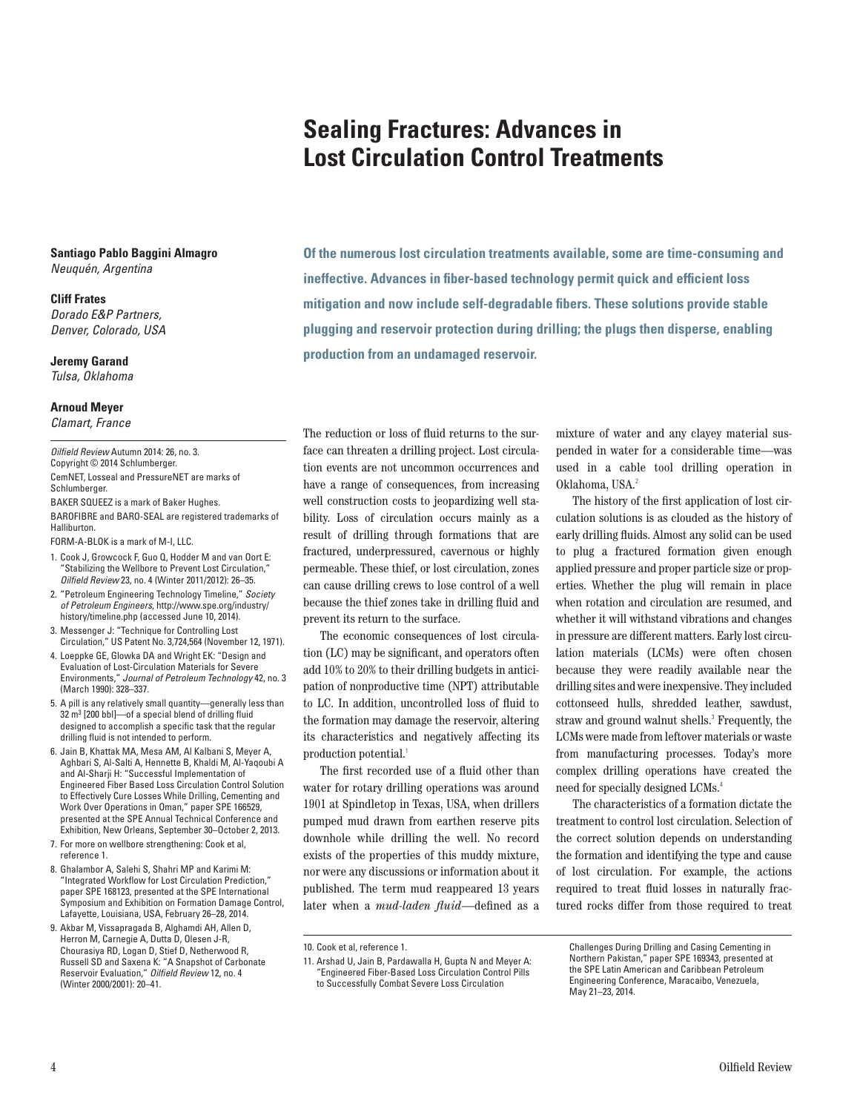# **Sealing Fractures: Advances in Lost Circulation Control Treatments**

**Santiago Pablo Baggini Almagro**  Neuquén, Argentina

#### **Cliff Frates**

Dorado E&P Partners, Denver, Colorado, USA

**Jeremy Garand** Tulsa, Oklahoma

**Arnoud Meyer** Clamart, France

Oilfield Review Autumn 2014: 26, no. 3. Copyright © 2014 Schlumberger.

CemNET, Losseal and PressureNET are marks of Schlumberger.

BAKER SQUEEZ is a mark of Baker Hughes. BAROFIBRE and BARO-SEAL are registered trademarks of Halliburton.

FORM-A-BLOK is a mark of M-I, LLC.

- 1. Cook J, Growcock F, Guo Q, Hodder M and van Oort E: "Stabilizing the Wellbore to Prevent Lost Circulation," Oilfield Review 23, no. 4 (Winter 2011/2012): 26–35.
- 2. "Petroleum Engineering Technology Timeline," Society of Petroleum Engineers, http://www.spe.org/industry/ history/timeline.php (accessed June 10, 2014).
- 3. Messenger J: "Technique for Controlling Lost Circulation," US Patent No. 3,724,564 (November 12, 1971).
- 4. Loeppke GE, Glowka DA and Wright EK: "Design and Evaluation of Lost-Circulation Materials for Severe Environments," Journal of Petroleum Technology 42, no. 3 (March 1990): 328–337.
- 5. A pill is any relatively small quantity—generally less than 32 m<sup>3</sup> [200 bbl]-of a special blend of drilling fluid designed to accomplish a specific task that the regular drilling fluid is not intended to perform.
- 6. Jain B, Khattak MA, Mesa AM, Al Kalbani S, Meyer A, Aghbari S, Al-Salti A, Hennette B, Khaldi M, Al-Yaqoubi A and Al-Sharji H: "Successful Implementation of Engineered Fiber Based Loss Circulation Control Solution to Effectively Cure Losses While Drilling, Cementing and Work Over Operations in Oman," paper SPE 166529, presented at the SPE Annual Technical Conference and Exhibition, New Orleans, September 30–October 2, 2013.
- 7. For more on wellbore strengthening: Cook et al, reference 1.
- 8. Ghalambor A, Salehi S, Shahri MP and Karimi M: "Integrated Workflow for Lost Circulation Prediction," paper SPE 168123, presented at the SPE International Symposium and Exhibition on Formation Damage Control, Lafayette, Louisiana, USA, February 26–28, 2014.
- 9. Akbar M, Vissapragada B, Alghamdi AH, Allen D, Herron M, Carnegie A, Dutta D, Olesen J-R, Chourasiya RD, Logan D, Stief D, Netherwood R, Russell SD and Saxena K: "A Snapshot of Carbonate Reservoir Evaluation," Oilfield Review 12, no. 4 (Winter 2000/2001): 20–41.

**Of the numerous lost circulation treatments available, some are time-consuming and ineffective. Advances in fiber-based technology permit quick and efficient loss mitigation and now include self-degradable fibers. These solutions provide stable plugging and reservoir protection during drilling; the plugs then disperse, enabling production from an undamaged reservoir.**

The reduction or loss of fluid returns to the surface can threaten a drilling project. Lost circulation events are not uncommon occurrences and have a range of consequences, from increasing well construction costs to jeopardizing well stability. Loss of circulation occurs mainly as a result of drilling through formations that are fractured, underpressured, cavernous or highly permeable. These thief, or lost circulation, zones can cause drilling crews to lose control of a well because the thief zones take in drilling fluid and prevent its return to the surface.

The economic consequences of lost circulation (LC) may be significant, and operators often add 10% to 20% to their drilling budgets in anticipation of nonproductive time (NPT) attributable to LC. In addition, uncontrolled loss of fluid to the formation may damage the reservoir, altering its characteristics and negatively affecting its production potential.<sup>1</sup>

The first recorded use of a fluid other than water for rotary drilling operations was around 1901 at Spindletop in Texas, USA, when drillers pumped mud drawn from earthen reserve pits downhole while drilling the well. No record exists of the properties of this muddy mixture, nor were any discussions or information about it published. The term mud reappeared 13 years later when a *mud-laden fluid*—defined as a

11. Arshad U, Jain B, Pardawalla H, Gupta N and Meyer A: "Engineered Fiber-Based Loss Circulation Control Pills to Successfully Combat Severe Loss Circulation

mixture of water and any clayey material suspended in water for a considerable time—was used in a cable tool drilling operation in Oklahoma, USA.<sup>2</sup>

The history of the first application of lost circulation solutions is as clouded as the history of early drilling fluids. Almost any solid can be used to plug a fractured formation given enough applied pressure and proper particle size or properties. Whether the plug will remain in place when rotation and circulation are resumed, and whether it will withstand vibrations and changes in pressure are different matters. Early lost circulation materials (LCMs) were often chosen because they were readily available near the drilling sites and were inexpensive. They included cottonseed hulls, shredded leather, sawdust, straw and ground walnut shells.<sup>3</sup> Frequently, the LCMs were made from leftover materials or waste from manufacturing processes. Today's more complex drilling operations have created the need for specially designed LCMs.<sup>4</sup>

The characteristics of a formation dictate the treatment to control lost circulation. Selection of the correct solution depends on understanding the formation and identifying the type and cause of lost circulation. For example, the actions required to treat fluid losses in naturally fractured rocks differ from those required to treat

Challenges During Drilling and Casing Cementing in Northern Pakistan," paper SPE 169343, presented at the SPE Latin American and Caribbean Petroleum Engineering Conference, Maracaibo, Venezuela,

May 21–23, 2014.

<sup>10.</sup> Cook et al, reference 1.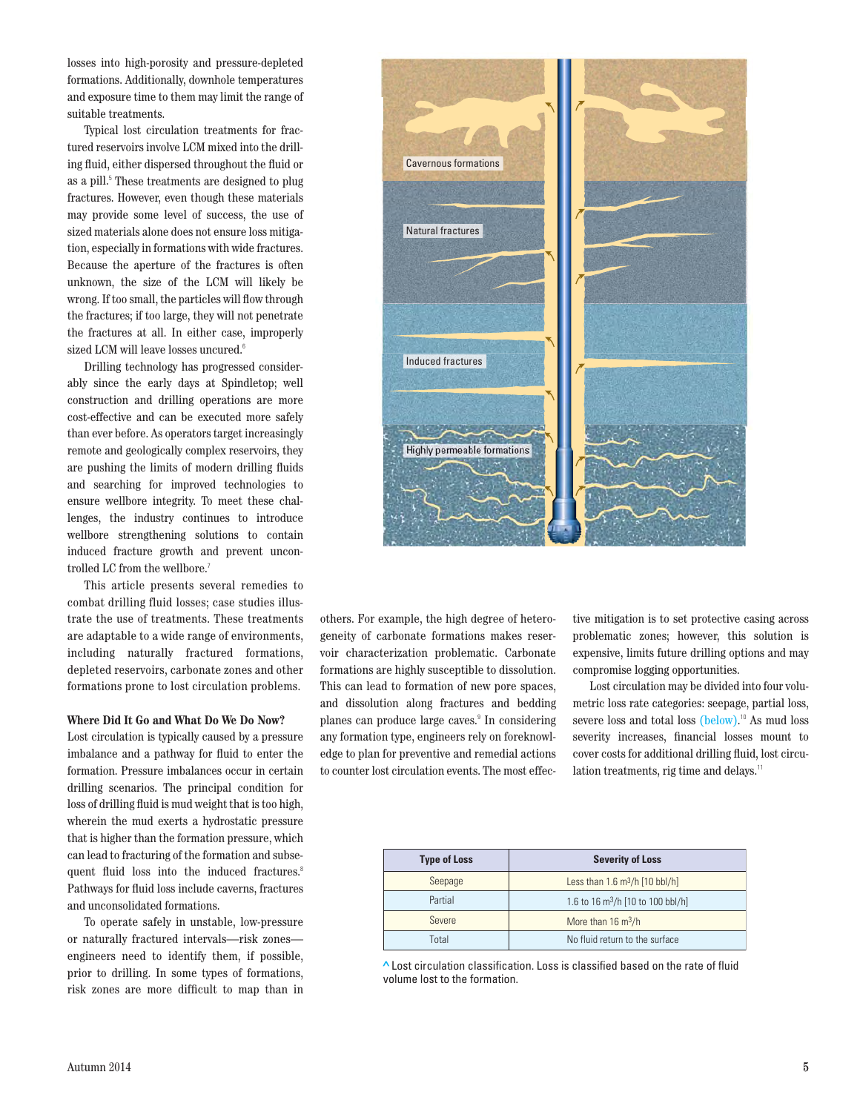losses into high-porosity and pressure-depleted formations. Additionally, downhole temperatures and exposure time to them may limit the range of suitable treatments.

Typical lost circulation treatments for fractured reservoirs involve LCM mixed into the drilling fluid, either dispersed throughout the fluid or as a pill.<sup>5</sup> These treatments are designed to plug fractures. However, even though these materials may provide some level of success, the use of sized materials alone does not ensure loss mitigation, especially in formations with wide fractures. Because the aperture of the fractures is often unknown, the size of the LCM will likely be wrong. If too small, the particles will flow through the fractures; if too large, they will not penetrate the fractures at all. In either case, improperly sized LCM will leave losses uncured.<sup>6</sup>

Drilling technology has progressed considerably since the early days at Spindletop; well construction and drilling operations are more cost-effective and can be executed more safely than ever before. As operators target increasingly remote and geologically complex reservoirs, they are pushing the limits of modern drilling fluids and searching for improved technologies to ensure wellbore integrity. To meet these challenges, the industry continues to introduce wellbore strengthening solutions to contain induced fracture growth and prevent uncontrolled LC from the wellbore.<sup>7</sup>

This article presents several remedies to combat drilling fluid losses; case studies illustrate the use of treatments. These treatments are adaptable to a wide range of environments, including naturally fractured formations, depleted reservoirs, carbonate zones and other formations prone to lost circulation problems.

## **Where Did It Go and What Do We Do Now?**

Lost circulation is typically caused by a pressure imbalance and a pathway for fluid to enter the formation. Pressure imbalances occur in certain drilling scenarios. The principal condition for loss of drilling fluid is mud weight that is too high, wherein the mud exerts a hydrostatic pressure that is higher than the formation pressure, which can lead to fracturing of the formation and subsequent fluid loss into the induced fractures.<sup>8</sup> Pathways for fluid loss include caverns, fractures and unconsolidated formations.

To operate safely in unstable, low-pressure or naturally fractured intervals—risk zones engineers need to identify them, if possible, prior to drilling. In some types of formations, risk zones are more difficult to map than in



others. For example, the high degree of heterogeneity of carbonate formations makes reservoir characterization problematic. Carbonate formations are highly susceptible to dissolution. This can lead to formation of new pore spaces, and dissolution along fractures and bedding planes can produce large caves.<sup>9</sup> In considering any formation type, engineers rely on foreknowledge to plan for preventive and remedial actions to counter lost circulation events. The most effective mitigation is to set protective casing across problematic zones; however, this solution is expensive, limits future drilling options and may compromise logging opportunities.

Lost circulation may be divided into four volumetric loss rate categories: seepage, partial loss, severe loss and total loss (below).<sup>10</sup> As mud loss severity increases, financial losses mount to cover costs for additional drilling fluid, lost circulation treatments, rig time and delays.<sup>11</sup>

| <b>Type of Loss</b> | <b>Severity of Loss</b>                           |  |
|---------------------|---------------------------------------------------|--|
| Seepage             | Less than $1.6 \text{ m}^3/h$ [10 bbl/h]          |  |
| Partial             | 1.6 to 16 $\text{m}^3/\text{h}$ [10 to 100 bbl/h] |  |
| Severe              | More than $16 \text{ m}^3/h$                      |  |
| Total               | No fluid return to the surface                    |  |

**>** Lost circulation classification. Loss is classified based on the rate of fluid volume lost to the formation.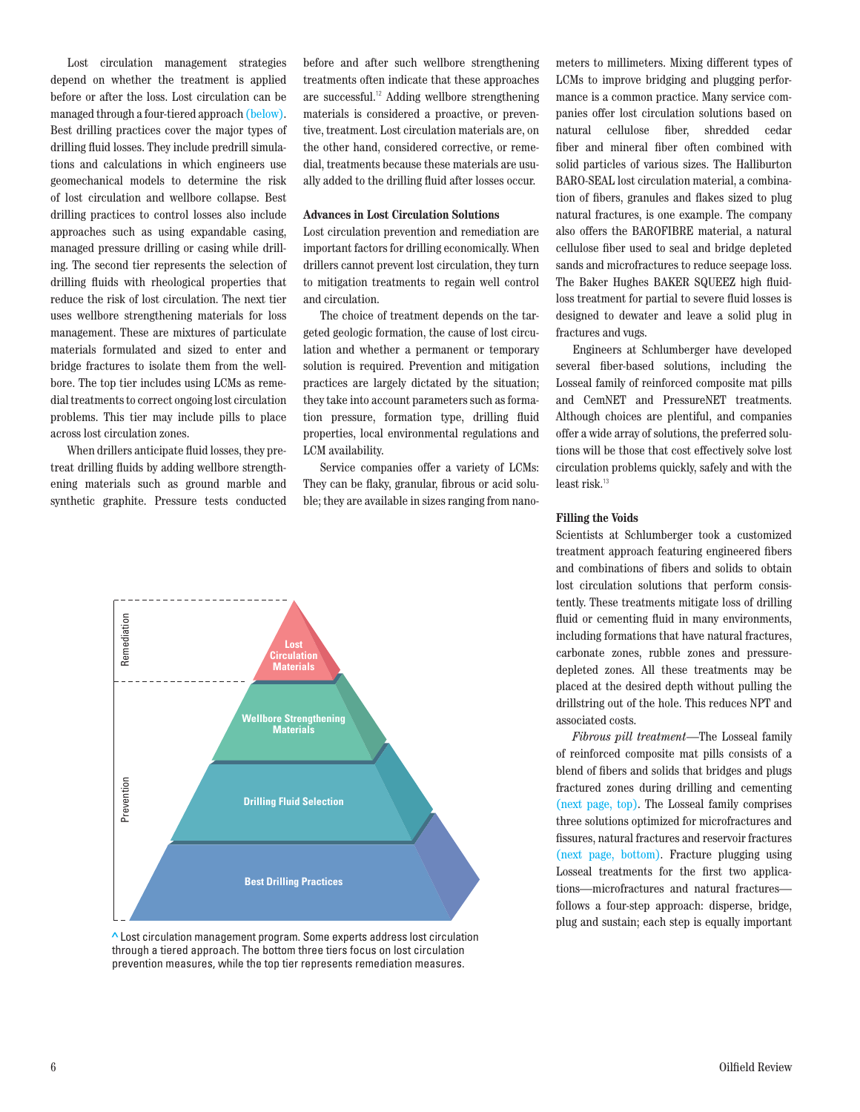Lost circulation management strategies depend on whether the treatment is applied before or after the loss. Lost circulation can be managed through a four-tiered approach (below). Best drilling practices cover the major types of drilling fluid losses. They include predrill simulations and calculations in which engineers use geomechanical models to determine the risk of lost circulation and wellbore collapse. Best drilling practices to control losses also include approaches such as using expandable casing, managed pressure drilling or casing while drilling. The second tier represents the selection of drilling fluids with rheological properties that reduce the risk of lost circulation. The next tier uses wellbore strengthening materials for loss management. These are mixtures of particulate materials formulated and sized to enter and bridge fractures to isolate them from the wellbore. The top tier includes using LCMs as remedial treatments to correct ongoing lost circulation problems. This tier may include pills to place across lost circulation zones.

When drillers anticipate fluid losses, they pretreat drilling fluids by adding wellbore strengthening materials such as ground marble and synthetic graphite. Pressure tests conducted before and after such wellbore strengthening treatments often indicate that these approaches are successful.<sup>12</sup> Adding wellbore strengthening materials is considered a proactive, or preventive, treatment. Lost circulation materials are, on the other hand, considered corrective, or remedial, treatments because these materials are usually added to the drilling fluid after losses occur.

# **Advances in Lost Circulation Solutions**

Lost circulation prevention and remediation are important factors for drilling economically. When drillers cannot prevent lost circulation, they turn to mitigation treatments to regain well control and circulation.

The choice of treatment depends on the targeted geologic formation, the cause of lost circulation and whether a permanent or temporary solution is required. Prevention and mitigation practices are largely dictated by the situation; they take into account parameters such as formation pressure, formation type, drilling fluid properties, local environmental regulations and LCM availability.

Service companies offer a variety of LCMs: They can be flaky, granular, fibrous or acid soluble; they are available in sizes ranging from nano-



through a tiered approach. The bottom three tiers focus on lost circulation prevention measures, while the top tier represents remediation measures.

meters to millimeters. Mixing different types of LCMs to improve bridging and plugging performance is a common practice. Many service companies offer lost circulation solutions based on natural cellulose fiber, shredded cedar fiber and mineral fiber often combined with solid particles of various sizes. The Halliburton BARO-SEAL lost circulation material, a combination of fibers, granules and flakes sized to plug natural fractures, is one example. The company also offers the BAROFIBRE material, a natural cellulose fiber used to seal and bridge depleted sands and microfractures to reduce seepage loss. The Baker Hughes BAKER SQUEEZ high fluidloss treatment for partial to severe fluid losses is designed to dewater and leave a solid plug in fractures and vugs.

Engineers at Schlumberger have developed several fiber-based solutions, including the Losseal family of reinforced composite mat pills and CemNET and PressureNET treatments. Although choices are plentiful, and companies offer a wide array of solutions, the preferred solutions will be those that cost effectively solve lost circulation problems quickly, safely and with the least risk.<sup>13</sup>

### **Filling the Voids**

Scientists at Schlumberger took a customized treatment approach featuring engineered fibers and combinations of fibers and solids to obtain lost circulation solutions that perform consistently. These treatments mitigate loss of drilling fluid or cementing fluid in many environments, including formations that have natural fractures, carbonate zones, rubble zones and pressuredepleted zones. All these treatments may be placed at the desired depth without pulling the drillstring out of the hole. This reduces NPT and associated costs.

*Fibrous pill treatment*—The Losseal family of reinforced composite mat pills consists of a blend of fibers and solids that bridges and plugs fractured zones during drilling and cementing (next page, top). The Losseal family comprises three solutions optimized for microfractures and fissures, natural fractures and reservoir fractures (next page, bottom). Fracture plugging using Losseal treatments for the first two applications—microfractures and natural fractures follows a four-step approach: disperse, bridge,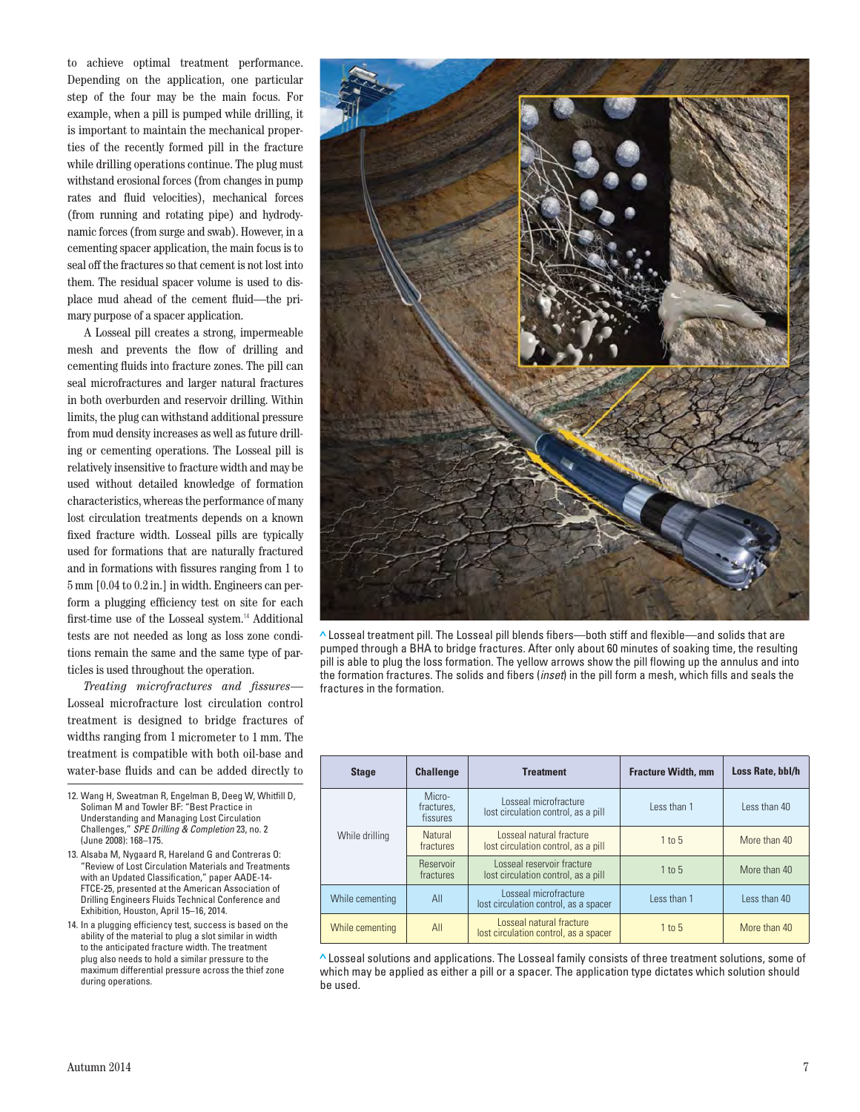to achieve optimal treatment performance. Depending on the application, one particular step of the four may be the main focus. For example, when a pill is pumped while drilling, it is important to maintain the mechanical properties of the recently formed pill in the fracture while drilling operations continue. The plug must withstand erosional forces (from changes in pump rates and fluid velocities), mechanical forces (from running and rotating pipe) and hydrodynamic forces (from surge and swab). However, in a cementing spacer application, the main focus is to seal off the fractures so that cement is not lost into them. The residual spacer volume is used to displace mud ahead of the cement fluid—the primary purpose of a spacer application.

A Losseal pill creates a strong, impermeable mesh and prevents the flow of drilling and cementing fluids into fracture zones. The pill can seal microfractures and larger natural fractures in both overburden and reservoir drilling. Within limits, the plug can withstand additional pressure from mud density increases as well as future drilling or cementing operations. The Losseal pill is relatively insensitive to fracture width and may be used without detailed knowledge of formation characteristics, whereas the performance of many lost circulation treatments depends on a known fixed fracture width. Losseal pills are typically used for formations that are naturally fractured and in formations with fissures ranging from 1 to 5 mm [0.04 to 0.2 in.] in width. Engineers can perform a plugging efficiency test on site for each first-time use of the Losseal system.<sup>14</sup> Additional tests are not needed as long as loss zone conditions remain the same and the same type of particles is used throughout the operation.

*Treating microfractures and fissures*— Losseal microfracture lost circulation control treatment is designed to bridge fractures of widths ranging from 1 micrometer to 1 mm. The treatment is compatible with both oil-base and water-base fluids and can be added directly to

12. Wang H, Sweatman R, Engelman B, Deeg W, Whitfill D, Soliman M and Towler BF: "Best Practice in Understanding and Managing Lost Circulation Challenges," SPE Drilling & Completion 23, no. 2 (June 2008): 168–175.

13. Alsaba M, Nygaard R, Hareland G and Contreras O: "Review of Lost Circulation Materials and Treatments with an Updated Classification," paper AADE-14- FTCE-25, presented at the American Association of Drilling Engineers Fluids Technical Conference and Exhibition, Houston, April 15–16, 2014.

14. In a plugging efficiency test, success is based on the ability of the material to plug a slot similar in width to the anticipated fracture width. The treatment plug also needs to hold a similar pressure to the maximum differential pressure across the thief zone during operations.



**>** Losseal treatment pill. The Losseal pill blends fibers—both stiff and flexible—and solids that are pumped through a BHA to bridge fractures. After only about 60 minutes of soaking time, the resulting pill is able to plug the loss formation. The yellow arrows show the pill flowing up the annulus and into the formation fractures. The solids and fibers (*inset*) in the pill form a mesh, which fills and seals the fractures in the formation.

| <b>Stage</b>    | <b>Challenge</b>                 | <b>Treatment</b>                                                  | <b>Fracture Width, mm</b> | Loss Rate, bbl/h |
|-----------------|----------------------------------|-------------------------------------------------------------------|---------------------------|------------------|
| While drilling  | Micro-<br>fractures,<br>fissures | Losseal microfracture<br>lost circulation control, as a pill      | Less than 1               | Less than 40     |
|                 | <b>Natural</b><br>fractures      | Losseal natural fracture<br>lost circulation control, as a pill   | $1$ to $5$                | More than 40     |
|                 | Reservoir<br>fractures           | Losseal reservoir fracture<br>lost circulation control, as a pill | $1$ to $5$                | More than 40     |
| While cementing | All                              | Losseal microfracture<br>lost circulation control, as a spacer    | Less than 1               | Less than 40     |
| While cementing | All                              | Losseal natural fracture<br>lost circulation control, as a spacer | 1 to 5                    | More than 40     |

**>** Losseal solutions and applications. The Losseal family consists of three treatment solutions, some of which may be applied as either a pill or a spacer. The application type dictates which solution should be used.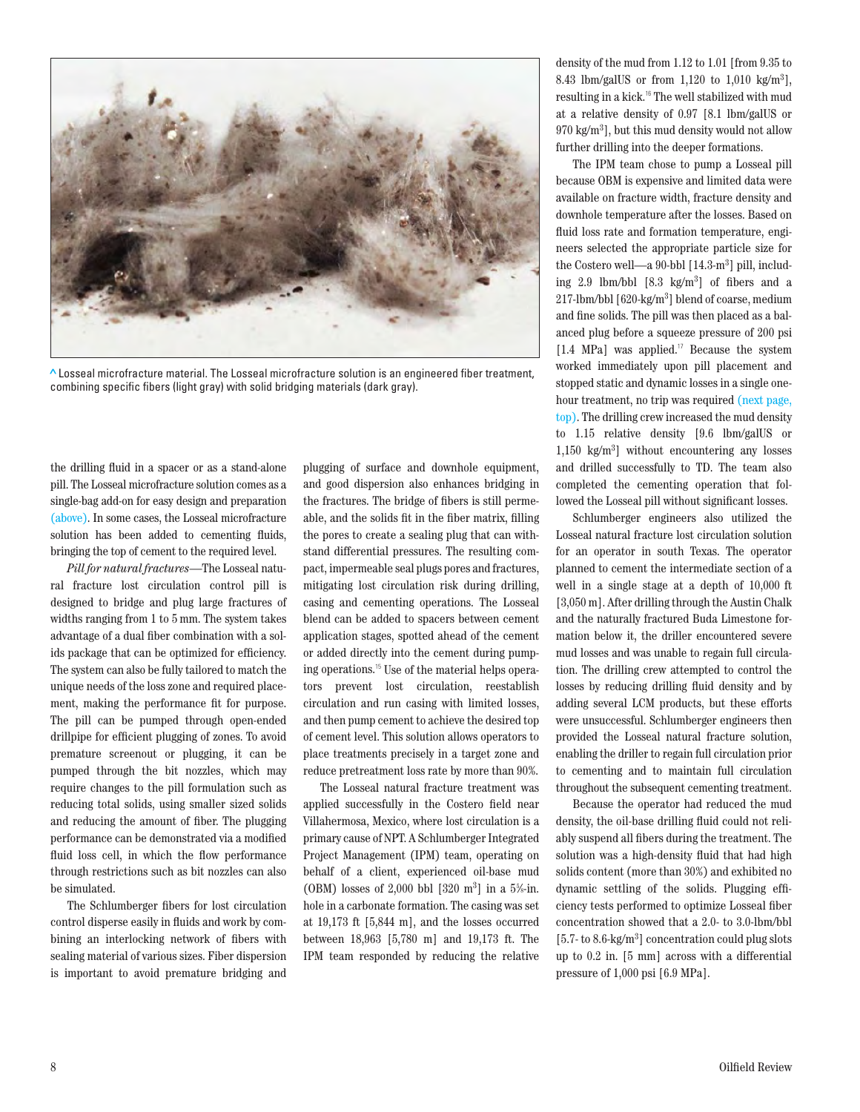

**>** Losseal microfracture material. The Losseal microfracture solution is an engineered fiber treatment, combining specific fibers (light gray) with solid bridging materials (dark gray).

the drilling fluid in a spacer or as a stand-alone pill. The Losseal microfracture solution comes as a single-bag add-on for easy design and preparation (above). In some cases, the Losseal microfracture solution has been added to cementing fluids, bringing the top of cement to the required level.

*Pill for natural fractures*—The Losseal natural fracture lost circulation control pill is designed to bridge and plug large fractures of widths ranging from 1 to 5 mm. The system takes advantage of a dual fiber combination with a solids package that can be optimized for efficiency. The system can also be fully tailored to match the unique needs of the loss zone and required placement, making the performance fit for purpose. The pill can be pumped through open-ended drillpipe for efficient plugging of zones. To avoid premature screenout or plugging, it can be pumped through the bit nozzles, which may require changes to the pill formulation such as reducing total solids, using smaller sized solids and reducing the amount of fiber. The plugging performance can be demonstrated via a modified fluid loss cell, in which the flow performance through restrictions such as bit nozzles can also be simulated.

The Schlumberger fibers for lost circulation control disperse easily in fluids and work by combining an interlocking network of fibers with sealing material of various sizes. Fiber dispersion is important to avoid premature bridging and

plugging of surface and downhole equipment, and good dispersion also enhances bridging in the fractures. The bridge of fibers is still permeable, and the solids fit in the fiber matrix, filling the pores to create a sealing plug that can withstand differential pressures. The resulting compact, impermeable seal plugs pores and fractures, mitigating lost circulation risk during drilling, casing and cementing operations. The Losseal blend can be added to spacers between cement application stages, spotted ahead of the cement or added directly into the cement during pumping operations.15 Use of the material helps operators prevent lost circulation, reestablish circulation and run casing with limited losses, and then pump cement to achieve the desired top of cement level. This solution allows operators to place treatments precisely in a target zone and reduce pretreatment loss rate by more than 90%.

The Losseal natural fracture treatment was applied successfully in the Costero field near Villahermosa, Mexico, where lost circulation is a primary cause of NPT. A Schlumberger Integrated Project Management (IPM) team, operating on behalf of a client, experienced oil-base mud (OBM) losses of 2,000 bbl  $[320 \text{ m}^3]$  in a 5%-in. hole in a carbonate formation. The casing was set at 19,173 ft [5,844 m], and the losses occurred between 18,963 [5,780 m] and 19,173 ft. The IPM team responded by reducing the relative

density of the mud from 1.12 to 1.01 [from 9.35 to 8.43 lbm/galUS or from 1,120 to 1,010 kg/m3 ], resulting in a kick.<sup>16</sup> The well stabilized with mud at a relative density of 0.97 [8.1 lbm/galUS or 970 kg/m3 ], but this mud density would not allow further drilling into the deeper formations.

The IPM team chose to pump a Losseal pill because OBM is expensive and limited data were available on fracture width, fracture density and downhole temperature after the losses. Based on fluid loss rate and formation temperature, engineers selected the appropriate particle size for the Costero well—a 90-bbl [14.3-m3 ] pill, including 2.9 lbm/bbl [8.3 kg/m3 ] of fibers and a 217-lbm/bbl [620-kg/m3 ] blend of coarse, medium and fine solids. The pill was then placed as a balanced plug before a squeeze pressure of 200 psi [1.4 MPa] was applied.<sup>17</sup> Because the system worked immediately upon pill placement and stopped static and dynamic losses in a single onehour treatment, no trip was required (next page, top). The drilling crew increased the mud density to 1.15 relative density [9.6 lbm/galUS or 1,150 kg/m3 ] without encountering any losses and drilled successfully to TD. The team also completed the cementing operation that followed the Losseal pill without significant losses.

Schlumberger engineers also utilized the Losseal natural fracture lost circulation solution for an operator in south Texas. The operator planned to cement the intermediate section of a well in a single stage at a depth of 10,000 ft [3,050 m]. After drilling through the Austin Chalk and the naturally fractured Buda Limestone formation below it, the driller encountered severe mud losses and was unable to regain full circulation. The drilling crew attempted to control the losses by reducing drilling fluid density and by adding several LCM products, but these efforts were unsuccessful. Schlumberger engineers then provided the Losseal natural fracture solution, enabling the driller to regain full circulation prior to cementing and to maintain full circulation throughout the subsequent cementing treatment.

Because the operator had reduced the mud density, the oil-base drilling fluid could not reliably suspend all fibers during the treatment. The solution was a high-density fluid that had high solids content (more than 30%) and exhibited no dynamic settling of the solids. Plugging efficiency tests performed to optimize Losseal fiber concentration showed that a 2.0- to 3.0-lbm/bbl [5.7- to 8.6-kg/m3 ] concentration could plug slots up to 0.2 in. [5 mm] across with a differential pressure of 1,000 psi [6.9 MPa].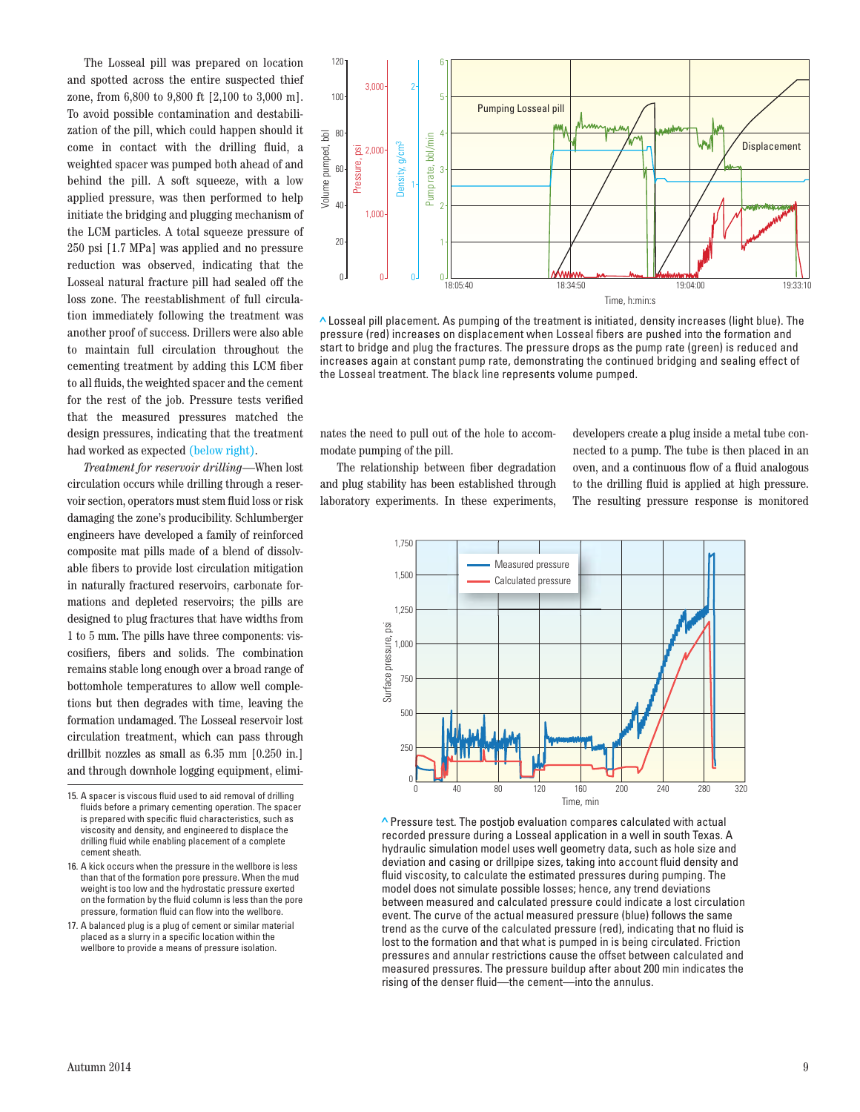The Losseal pill was prepared on location and spotted across the entire suspected thief zone, from 6,800 to 9,800 ft [2,100 to 3,000 m]. To avoid possible contamination and destabilization of the pill, which could happen should it come in contact with the drilling fluid, a weighted spacer was pumped both ahead of and behind the pill. A soft squeeze, with a low applied pressure, was then performed to help initiate the bridging and plugging mechanism of the LCM particles. A total squeeze pressure of 250 psi [1.7 MPa] was applied and no pressure reduction was observed, indicating that the Losseal natural fracture pill had sealed off the loss zone. The reestablishment of full circulation immediately following the treatment was another proof of success. Drillers were also able to maintain full circulation throughout the cementing treatment by adding this LCM fiber to all fluids, the weighted spacer and the cement for the rest of the job. Pressure tests verified that the measured pressures matched the design pressures, indicating that the treatment had worked as expected (below right).

*Treatment for reservoir drilling*—When lost circulation occurs while drilling through a reservoir section, operators must stem fluid loss or risk damaging the zone's producibility. Schlumberger engineers have developed a family of reinforced composite mat pills made of a blend of dissolvable fibers to provide lost circulation mitigation in naturally fractured reservoirs, carbonate formations and depleted reservoirs; the pills are designed to plug fractures that have widths from 1 to 5 mm. The pills have three components: viscosifiers, fibers and solids. The combination remains stable long enough over a broad range of bottomhole temperatures to allow well completions but then degrades with time, leaving the formation undamaged. The Losseal reservoir lost circulation treatment, which can pass through drillbit nozzles as small as 6.35 mm [0.250 in.] and through downhole logging equipment, elimi-

15. A spacer is viscous fluid used to aid removal of drilling fluids before a primary cementing operation. The spacer is prepared with specific fluid characteristics, such as viscosity and density, and engineered to displace the drilling fluid while enabling placement of a complete cement sheath.

16. A kick occurs when the pressure in the wellbore is less than that of the formation pore pressure. When the mud weight is too low and the hydrostatic pressure exerted on the formation by the fluid column is less than the pore pressure, formation fluid can flow into the wellbore.

17. A balanced plug is a plug of cement or similar material placed as a slurry in a specific location within the wellbore to provide a means of pressure isolation.



**>** Losseal pill placement. As pumping of the treatment is initiated, density increases (light blue). The pressure (red) increases on displacement when Losseal fibers are pushed into the formation and start to bridge and plug the fractures. The pressure drops as the pump rate (green) is reduced and increases again at constant pump rate, demonstrating the continued bridging and sealing effect of

nates the need to pull out of the hole to accommodate pumping of the pill.

The relationship between fiber degradation and plug stability has been established through laboratory experiments. In these experiments,

developers create a plug inside a metal tube connected to a pump. The tube is then placed in an oven, and a continuous flow of a fluid analogous to the drilling fluid is applied at high pressure. The resulting pressure response is monitored



**>** Pressure test. The postjob evaluation compares calculated with actual recorded pressure during a Losseal application in a well in south Texas. A hydraulic simulation model uses well geometry data, such as hole size and deviation and casing or drillpipe sizes, taking into account fluid density and fluid viscosity, to calculate the estimated pressures during pumping. The model does not simulate possible losses; hence, any trend deviations between measured and calculated pressure could indicate a lost circulation event. The curve of the actual measured pressure (blue) follows the same trend as the curve of the calculated pressure (red), indicating that no fluid is lost to the formation and that what is pumped in is being circulated. Friction pressures and annular restrictions cause the offset between calculated and measured pressures. The pressure buildup after about 200 min indicates the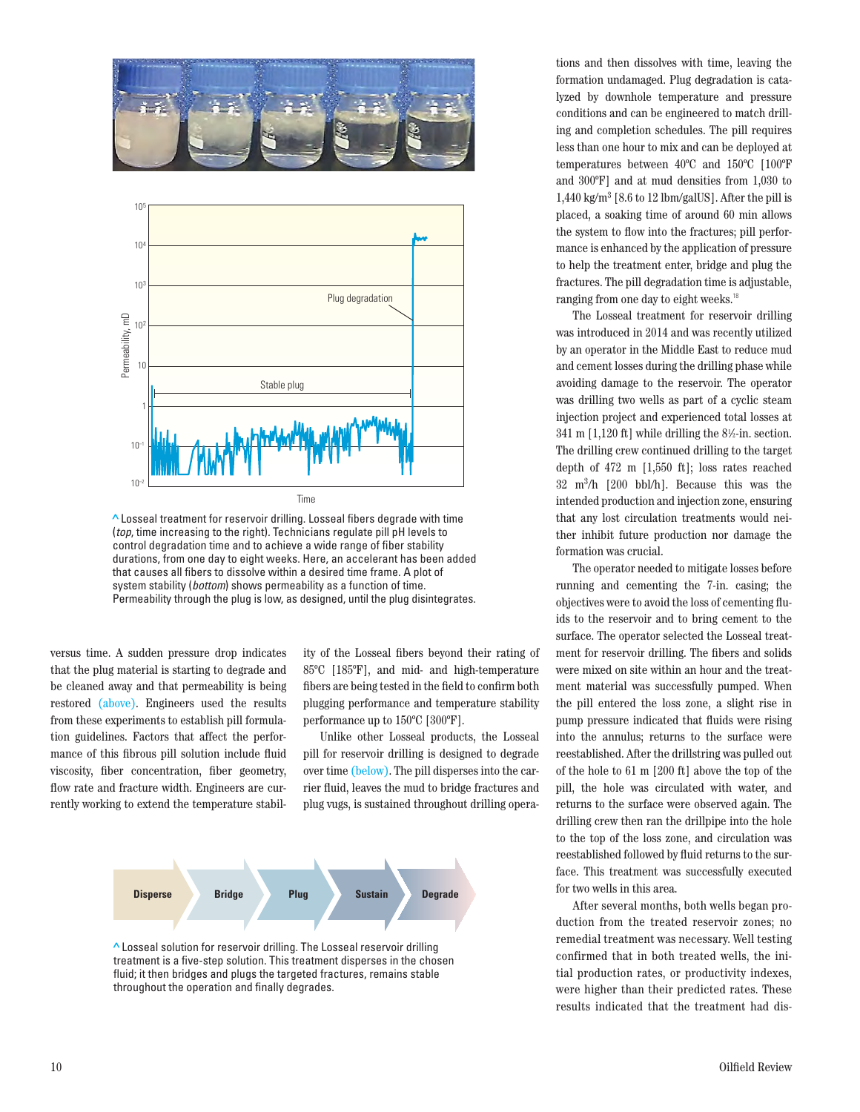



**>** Losseal treatment for reservoir drilling. Losseal fibers degrade with time (top, time increasing to the right). Technicians regulate pill pH levels to control degradation time and to achieve a wide range of fiber stability durations, from one day to eight weeks. Here, an accelerant has been added that causes all fibers to dissolve within a desired time frame. A plot of system stability (bottom) shows permeability as a function of time. Permeability through the plug is low, as designed, until the plug disintegrates.

versus time. A sudden pressure drop indicates that the plug material is starting to degrade and be cleaned away and that permeability is being restored (above). Engineers used the results from these experiments to establish pill formulation guidelines. Factors that affect the performance of this fibrous pill solution include fluid viscosity, fiber concentration, fiber geometry, flow rate and fracture width. Engineers are currently working to extend the temperature stability of the Losseal fibers beyond their rating of 85ºC [185ºF], and mid- and high-temperature fibers are being tested in the field to confirm both plugging performance and temperature stability performance up to 150ºC [300ºF].

Unlike other Losseal products, the Losseal pill for reservoir drilling is designed to degrade over time (below). The pill disperses into the carrier fluid, leaves the mud to bridge fractures and plug vugs, is sustained throughout drilling opera-



**>** Losseal solution for reservoir drilling. The Losseal reservoir drilling treatment is a five-step solution. This treatment disperses in the chosen fluid; it then bridges and plugs the targeted fractures, remains stable throughout the operation and finally degrades.

tions and then dissolves with time, leaving the formation undamaged. Plug degradation is catalyzed by downhole temperature and pressure conditions and can be engineered to match drilling and completion schedules. The pill requires less than one hour to mix and can be deployed at temperatures between 40ºC and 150ºC [100ºF and 300ºF] and at mud densities from 1,030 to 1,440 kg/m3 [8.6 to 12 lbm/galUS]. After the pill is placed, a soaking time of around 60 min allows the system to flow into the fractures; pill performance is enhanced by the application of pressure to help the treatment enter, bridge and plug the fractures. The pill degradation time is adjustable, ranging from one day to eight weeks.<sup>18</sup>

The Losseal treatment for reservoir drilling was introduced in 2014 and was recently utilized by an operator in the Middle East to reduce mud and cement losses during the drilling phase while avoiding damage to the reservoir. The operator was drilling two wells as part of a cyclic steam injection project and experienced total losses at  $341 \text{ m } [1,120 \text{ ft}]$  while drilling the  $8\frac{1}{2}$ -in. section. The drilling crew continued drilling to the target depth of 472 m [1,550 ft]; loss rates reached 32 m3 /h [200 bbl/h]. Because this was the intended production and injection zone, ensuring that any lost circulation treatments would neither inhibit future production nor damage the formation was crucial.

The operator needed to mitigate losses before running and cementing the 7-in. casing; the objectives were to avoid the loss of cementing fluids to the reservoir and to bring cement to the surface. The operator selected the Losseal treatment for reservoir drilling. The fibers and solids were mixed on site within an hour and the treatment material was successfully pumped. When the pill entered the loss zone, a slight rise in pump pressure indicated that fluids were rising into the annulus; returns to the surface were reestablished. After the drillstring was pulled out of the hole to 61 m [200 ft] above the top of the pill, the hole was circulated with water, and returns to the surface were observed again. The drilling crew then ran the drillpipe into the hole to the top of the loss zone, and circulation was reestablished followed by fluid returns to the surface. This treatment was successfully executed for two wells in this area.

After several months, both wells began production from the treated reservoir zones; no remedial treatment was necessary. Well testing confirmed that in both treated wells, the initial production rates, or productivity indexes, were higher than their predicted rates. These results indicated that the treatment had dis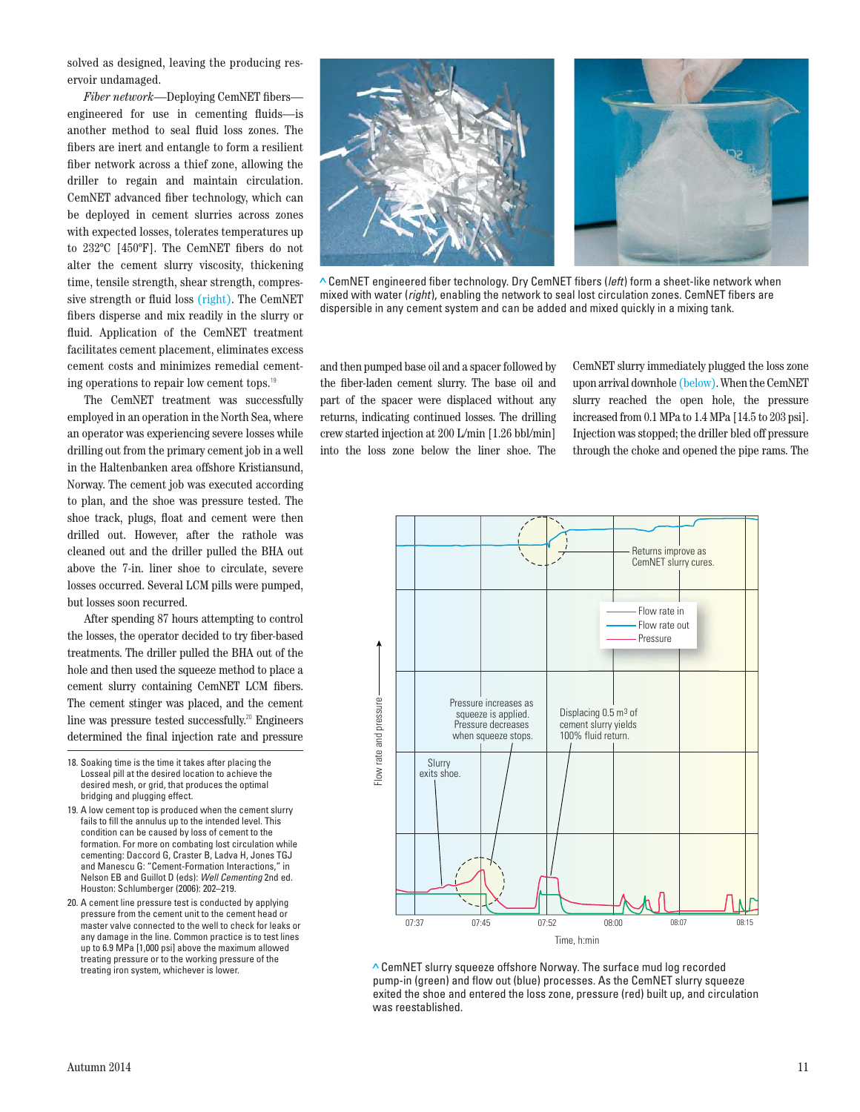solved as designed, leaving the producing reservoir undamaged.

*Fiber network*—Deploying CemNET fibers engineered for use in cementing fluids—is another method to seal fluid loss zones. The fibers are inert and entangle to form a resilient fiber network across a thief zone, allowing the driller to regain and maintain circulation. CemNET advanced fiber technology, which can be deployed in cement slurries across zones with expected losses, tolerates temperatures up to 232ºC [450ºF]. The CemNET fibers do not alter the cement slurry viscosity, thickening time, tensile strength, shear strength, compressive strength or fluid loss (right). The CemNET fibers disperse and mix readily in the slurry or fluid. Application of the CemNET treatment facilitates cement placement, eliminates excess cement costs and minimizes remedial cementing operations to repair low cement tops.<sup>19</sup>

The CemNET treatment was successfully employed in an operation in the North Sea, where an operator was experiencing severe losses while drilling out from the primary cement job in a well in the Haltenbanken area offshore Kristiansund, Norway. The cement job was executed according to plan, and the shoe was pressure tested. The shoe track, plugs, float and cement were then drilled out. However, after the rathole was cleaned out and the driller pulled the BHA out above the 7-in. liner shoe to circulate, severe losses occurred. Several LCM pills were pumped, but losses soon recurred.

After spending 87 hours attempting to control the losses, the operator decided to try fiber-based treatments. The driller pulled the BHA out of the hole and then used the squeeze method to place a cement slurry containing CemNET LCM fibers. The cement stinger was placed, and the cement line was pressure tested successfully.<sup>20</sup> Engineers determined the final injection rate and pressure

- 18. Soaking time is the time it takes after placing the Losseal pill at the desired location to achieve the desired mesh, or grid, that produces the optimal bridging and plugging effect.
- 19. A low cement top is produced when the cement slurry fails to fill the annulus up to the intended level. This condition can be caused by loss of cement to the formation. For more on combating lost circulation while cementing: Daccord G, Craster B, Ladva H, Jones TGJ and Manescu G: "Cement-Formation Interactions," in Nelson EB and Guillot D (eds): Well Cementing 2nd ed. Houston: Schlumberger (2006): 202–219.
- 20. A cement line pressure test is conducted by applying pressure from the cement unit to the cement head or master valve connected to the well to check for leaks or any damage in the line. Common practice is to test lines up to 6.9 MPa [1,000 psi] above the maximum allowed treating pressure or to the working pressure of the treating iron system, whichever is lower.



**>** CemNET engineered fiber technology. Dry CemNET fibers (left) form a sheet-like network when mixed with water (right), enabling the network to seal lost circulation zones. CemNET fibers are dispersible in any cement system and can be added and mixed quickly in a mixing tank.

and then pumped base oil and a spacer followed by the fiber-laden cement slurry. The base oil and part of the spacer were displaced without any returns, indicating continued losses. The drilling crew started injection at 200 L/min [1.26 bbl/min] into the loss zone below the liner shoe. The

CemNET slurry immediately plugged the loss zone upon arrival downhole (below). When the CemNET slurry reached the open hole, the pressure increased from 0.1 MPa to 1.4 MPa [14.5 to 203 psi]. Injection was stopped; the driller bled off pressure through the choke and opened the pipe rams. The



**>** CemNET slurry squeeze offshore Norway. The surface mud log recorded pump-in (green) and flow out (blue) processes. As the CemNET slurry squeeze exited the shoe and entered the loss zone, pressure (red) built up, and circulation was reestablished.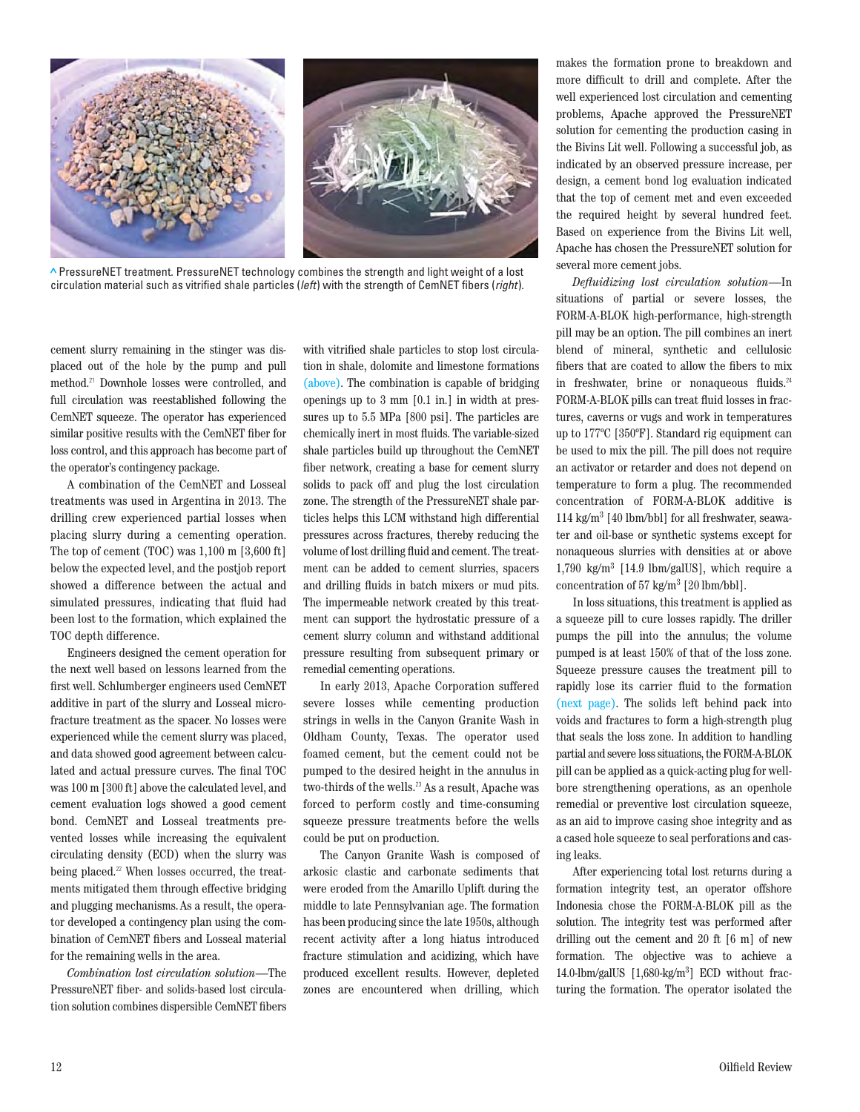

**>** PressureNET treatment. PressureNET technology combines the strength and light weight of a lost circulation material such as vitrified shale particles (left) with the strength of CemNET fibers (right).

cement slurry remaining in the stinger was displaced out of the hole by the pump and pull method.<sup>21</sup> Downhole losses were controlled, and full circulation was reestablished following the CemNET squeeze. The operator has experienced similar positive results with the CemNET fiber for loss control, and this approach has become part of the operator's contingency package.

A combination of the CemNET and Losseal treatments was used in Argentina in 2013. The drilling crew experienced partial losses when placing slurry during a cementing operation. The top of cement (TOC) was 1,100 m [3,600 ft] below the expected level, and the postjob report showed a difference between the actual and simulated pressures, indicating that fluid had been lost to the formation, which explained the TOC depth difference.

Engineers designed the cement operation for the next well based on lessons learned from the first well. Schlumberger engineers used CemNET additive in part of the slurry and Losseal microfracture treatment as the spacer. No losses were experienced while the cement slurry was placed, and data showed good agreement between calculated and actual pressure curves. The final TOC was 100 m [300 ft] above the calculated level, and cement evaluation logs showed a good cement bond. CemNET and Losseal treatments prevented losses while increasing the equivalent circulating density (ECD) when the slurry was being placed.<sup>22</sup> When losses occurred, the treatments mitigated them through effective bridging and plugging mechanisms.As a result, the operator developed a contingency plan using the combination of CemNET fibers and Losseal material for the remaining wells in the area.

*Combination lost circulation solution*—The PressureNET fiber- and solids-based lost circulation solution combines dispersible CemNET fibers with vitrified shale particles to stop lost circulation in shale, dolomite and limestone formations (above). The combination is capable of bridging openings up to 3 mm [0.1 in.] in width at pressures up to 5.5 MPa [800 psi]. The particles are chemically inert in most fluids. The variable-sized shale particles build up throughout the CemNET fiber network, creating a base for cement slurry solids to pack off and plug the lost circulation zone. The strength of the PressureNET shale particles helps this LCM withstand high differential pressures across fractures, thereby reducing the volume of lost drilling fluid and cement. The treatment can be added to cement slurries, spacers and drilling fluids in batch mixers or mud pits. The impermeable network created by this treatment can support the hydrostatic pressure of a cement slurry column and withstand additional pressure resulting from subsequent primary or remedial cementing operations.

In early 2013, Apache Corporation suffered severe losses while cementing production strings in wells in the Canyon Granite Wash in Oldham County, Texas. The operator used foamed cement, but the cement could not be pumped to the desired height in the annulus in two-thirds of the wells.<sup>23</sup> As a result, Apache was forced to perform costly and time-consuming squeeze pressure treatments before the wells could be put on production.

The Canyon Granite Wash is composed of arkosic clastic and carbonate sediments that were eroded from the Amarillo Uplift during the middle to late Pennsylvanian age. The formation has been producing since the late 1950s, although recent activity after a long hiatus introduced fracture stimulation and acidizing, which have produced excellent results. However, depleted zones are encountered when drilling, which

makes the formation prone to breakdown and more difficult to drill and complete. After the well experienced lost circulation and cementing problems, Apache approved the PressureNET solution for cementing the production casing in the Bivins Lit well. Following a successful job, as indicated by an observed pressure increase, per design, a cement bond log evaluation indicated that the top of cement met and even exceeded the required height by several hundred feet. Based on experience from the Bivins Lit well, Apache has chosen the PressureNET solution for several more cement jobs.

*Defluidizing lost circulation solution*—In situations of partial or severe losses, the FORM-A-BLOK high-performance, high-strength pill may be an option. The pill combines an inert blend of mineral, synthetic and cellulosic fibers that are coated to allow the fibers to mix in freshwater, brine or nonaqueous fluids.<sup>24</sup> FORM-A-BLOK pills can treat fluid losses in fractures, caverns or vugs and work in temperatures up to 177ºC [350ºF]. Standard rig equipment can be used to mix the pill. The pill does not require an activator or retarder and does not depend on temperature to form a plug. The recommended concentration of FORM-A-BLOK additive is 114 kg/m3 [40 lbm/bbl] for all freshwater, seawater and oil-base or synthetic systems except for nonaqueous slurries with densities at or above 1,790 kg/m3 [14.9 lbm/galUS], which require a concentration of 57 kg/m<sup>3</sup> [20 lbm/bbl].

In loss situations, this treatment is applied as a squeeze pill to cure losses rapidly. The driller pumps the pill into the annulus; the volume pumped is at least 150% of that of the loss zone. Squeeze pressure causes the treatment pill to rapidly lose its carrier fluid to the formation (next page). The solids left behind pack into voids and fractures to form a high-strength plug that seals the loss zone. In addition to handling partial and severe loss situations, the FORM-A-BLOK pill can be applied as a quick-acting plug for wellbore strengthening operations, as an openhole remedial or preventive lost circulation squeeze, as an aid to improve casing shoe integrity and as a cased hole squeeze to seal perforations and casing leaks.

After experiencing total lost returns during a formation integrity test, an operator offshore Indonesia chose the FORM-A-BLOK pill as the solution. The integrity test was performed after drilling out the cement and 20 ft [6 m] of new formation. The objective was to achieve a 14.0-lbm/galUS [1,680-kg/m3 ] ECD without fracturing the formation. The operator isolated the